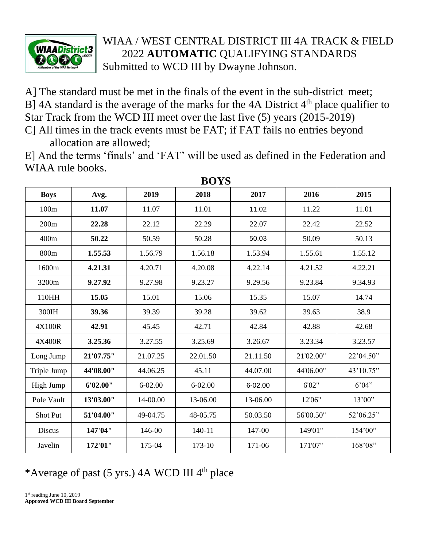

## WIAA / WEST CENTRAL DISTRICT III 4A TRACK & FIELD 2022 **AUTOMATIC** QUALIFYING STANDARDS Submitted to WCD III by Dwayne Johnson.

A] The standard must be met in the finals of the event in the sub-district meet; B] 4A standard is the average of the marks for the 4A District  $4<sup>th</sup>$  place qualifier to Star Track from the WCD III meet over the last five (5) years (2015-2019)

C] All times in the track events must be FAT; if FAT fails no entries beyond allocation are allowed;

E] And the terms 'finals' and 'FAT' will be used as defined in the Federation and WIAA rule books. **BOXZO** 

| BOYS            |           |             |             |          |           |           |  |  |  |  |
|-----------------|-----------|-------------|-------------|----------|-----------|-----------|--|--|--|--|
| <b>Boys</b>     | Avg.      | 2019        | 2018        | 2017     | 2016      | 2015      |  |  |  |  |
| 100m            | 11.07     | 11.07       | 11.01       | 11.02    | 11.22     | 11.01     |  |  |  |  |
| 200m            | 22.28     | 22.12       | 22.29       | 22.07    | 22.42     | 22.52     |  |  |  |  |
| 400m            | 50.22     | 50.59       | 50.28       | 50.03    | 50.09     | 50.13     |  |  |  |  |
| 800m            | 1.55.53   | 1.56.79     | 1.56.18     | 1.53.94  | 1.55.61   | 1.55.12   |  |  |  |  |
| 1600m           | 4.21.31   | 4.20.71     | 4.20.08     | 4.22.14  | 4.21.52   | 4.22.21   |  |  |  |  |
| 3200m           | 9.27.92   | 9.27.98     | 9.23.27     | 9.29.56  | 9.23.84   | 9.34.93   |  |  |  |  |
| 110HH           | 15.05     | 15.01       | 15.06       | 15.35    | 15.07     | 14.74     |  |  |  |  |
| 300IH           | 39.36     | 39.39       | 39.28       | 39.62    | 39.63     | 38.9      |  |  |  |  |
| 4X100R          | 42.91     | 45.45       | 42.71       | 42.84    | 42.88     | 42.68     |  |  |  |  |
| 4X400R          | 3.25.36   | 3.27.55     | 3.25.69     | 3.26.67  | 3.23.34   | 3.23.57   |  |  |  |  |
| Long Jump       | 21'07.75" | 21.07.25    | 22.01.50    | 21.11.50 | 21'02.00" | 22'04.50" |  |  |  |  |
| Triple Jump     | 44'08.00" | 44.06.25    | 45.11       | 44.07.00 | 44'06.00" | 43'10.75" |  |  |  |  |
| High Jump       | 6'02.00"  | $6 - 02.00$ | $6 - 02.00$ | 6-02.00  | 6'02"     | 6'04"     |  |  |  |  |
| Pole Vault      | 13'03.00" | 14-00.00    | 13-06.00    | 13-06.00 | 12'06"    | 13'00"    |  |  |  |  |
| <b>Shot Put</b> | 51'04.00" | 49-04.75    | 48-05.75    | 50.03.50 | 56'00.50" | 52'06.25" |  |  |  |  |
| Discus          | 147'04"   | 146-00      | 140-11      | 147-00   | 149'01"   | 154'00"   |  |  |  |  |
| Javelin         | 172'01"   | 175-04      | 173-10      | 171-06   | 171'07"   | 168'08"   |  |  |  |  |

\*Average of past (5 yrs.) 4A WCD III 4th place

1<sup>st</sup> reading June 10, 2019 **Approved WCD III Board September**